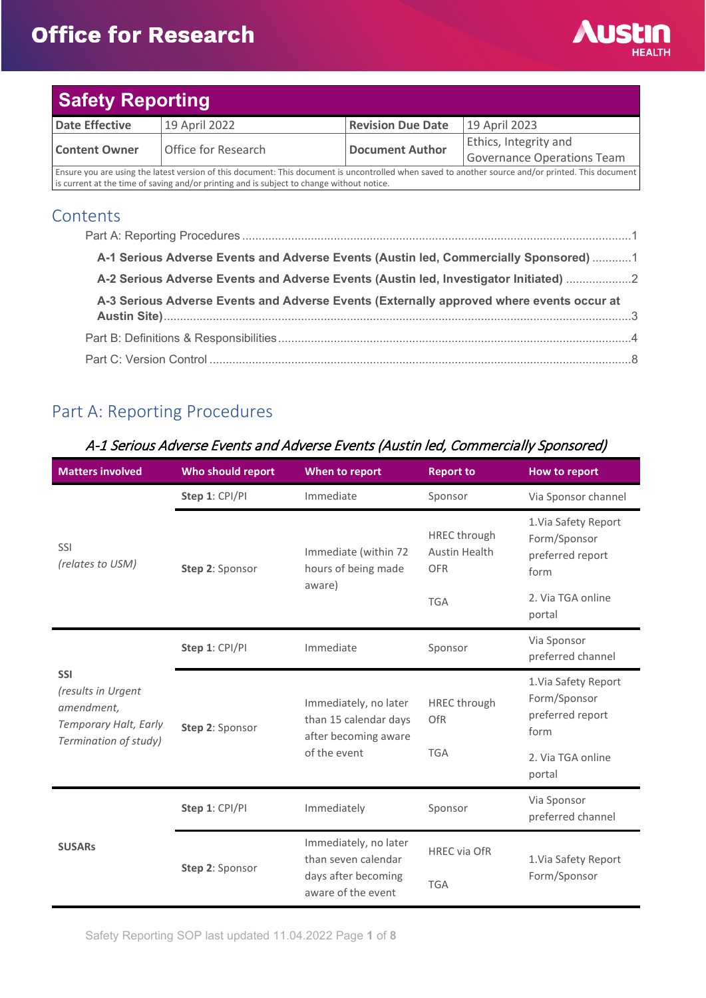## **Office for Research**



| <b>Safety Reporting</b>                                                                                                                            |                     |                          |                            |
|----------------------------------------------------------------------------------------------------------------------------------------------------|---------------------|--------------------------|----------------------------|
| <b>Date Effective</b>                                                                                                                              | 19 April 2022       | <b>Revision Due Date</b> | 19 April 2023              |
| <b>Content Owner</b>                                                                                                                               | Office for Research | <b>Document Author</b>   | Ethics, Integrity and      |
|                                                                                                                                                    |                     |                          | Governance Operations Team |
| Ensure you are using the latest version of this document: This document is uncontrolled when saved to another source and/or printed. This document |                     |                          |                            |

Ensure you are using the latest version of this document: This document is uncontrolled when saved to another source and/or printed. This document is current at the time of saving and/or printing and is subject to change without notice.

### **Contents**

| A-1 Serious Adverse Events and Adverse Events (Austin led, Commercially Sponsored)  1    |  |
|------------------------------------------------------------------------------------------|--|
| A-2 Serious Adverse Events and Adverse Events (Austin led, Investigator Initiated) 2     |  |
| A-3 Serious Adverse Events and Adverse Events (Externally approved where events occur at |  |
|                                                                                          |  |
|                                                                                          |  |

## <span id="page-0-0"></span>Part A: Reporting Procedures

| <b>Matters involved</b>                                                                          | Who should report | When to report                                                         | <b>Report to</b>                                   | <b>How to report</b>                                             |
|--------------------------------------------------------------------------------------------------|-------------------|------------------------------------------------------------------------|----------------------------------------------------|------------------------------------------------------------------|
|                                                                                                  | Step 1: CPI/PI    | Immediate                                                              | Sponsor                                            | Via Sponsor channel                                              |
| SSI<br>(relates to USM)                                                                          | Step 2: Sponsor   | Immediate (within 72<br>hours of being made                            | <b>HREC</b> through<br>Austin Health<br><b>OFR</b> | 1. Via Safety Report<br>Form/Sponsor<br>preferred report<br>form |
|                                                                                                  |                   | aware)                                                                 | <b>TGA</b>                                         | 2. Via TGA online<br>portal                                      |
| <b>SSI</b><br>(results in Urgent<br>amendment,<br>Temporary Halt, Early<br>Termination of study) | Step 1: CPI/PI    | Immediate                                                              | Sponsor                                            | Via Sponsor<br>preferred channel                                 |
|                                                                                                  | Step 2: Sponsor   | Immediately, no later<br>than 15 calendar days<br>after becoming aware | <b>HREC</b> through<br>OfR                         | 1. Via Safety Report<br>Form/Sponsor<br>preferred report<br>form |
|                                                                                                  |                   | of the event                                                           | <b>TGA</b>                                         | 2. Via TGA online<br>portal                                      |
| <b>SUSARs</b>                                                                                    | Step 1: CPI/PI    | Immediately                                                            | Sponsor                                            | Via Sponsor<br>preferred channel                                 |
|                                                                                                  | Step 2: Sponsor   | Immediately, no later<br>than seven calendar                           | <b>HREC via OfR</b>                                | 1. Via Safety Report                                             |
|                                                                                                  |                   | days after becoming<br>aware of the event                              | <b>TGA</b>                                         | Form/Sponsor                                                     |

### <span id="page-0-1"></span>A-1 Serious Adverse Events and Adverse Events (Austin led, Commercially Sponsored)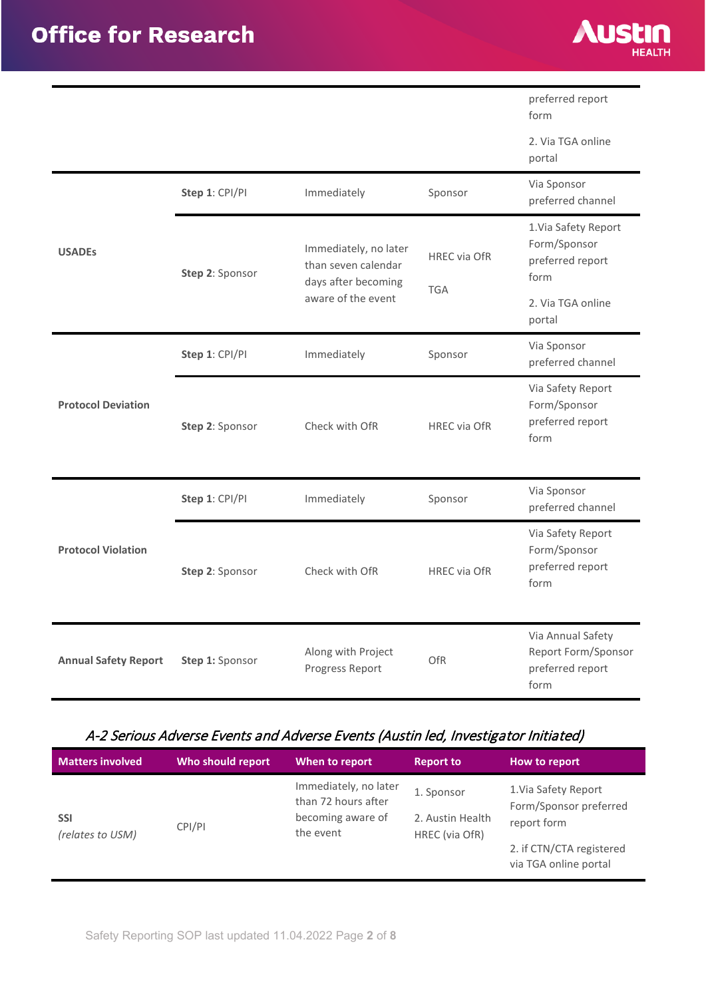

preferred report

|                             |                 |                                                                     |                     | form                                                                 |
|-----------------------------|-----------------|---------------------------------------------------------------------|---------------------|----------------------------------------------------------------------|
|                             |                 |                                                                     |                     | 2. Via TGA online<br>portal                                          |
|                             | Step 1: CPI/PI  | Immediately                                                         | Sponsor             | Via Sponsor<br>preferred channel                                     |
| <b>USADEs</b>               | Step 2: Sponsor | Immediately, no later<br>than seven calendar<br>days after becoming | <b>HREC via OfR</b> | 1. Via Safety Report<br>Form/Sponsor<br>preferred report<br>form     |
|                             |                 | aware of the event                                                  | <b>TGA</b>          | 2. Via TGA online<br>portal                                          |
| <b>Protocol Deviation</b>   | Step 1: CPI/PI  | Immediately                                                         | Sponsor             | Via Sponsor<br>preferred channel                                     |
|                             | Step 2: Sponsor | Check with OfR                                                      | <b>HREC via OfR</b> | Via Safety Report<br>Form/Sponsor<br>preferred report<br>form        |
|                             | Step 1: CPI/PI  | Immediately                                                         | Sponsor             | Via Sponsor<br>preferred channel                                     |
| <b>Protocol Violation</b>   | Step 2: Sponsor | Check with OfR                                                      | <b>HREC via OfR</b> | Via Safety Report<br>Form/Sponsor<br>preferred report<br>form        |
| <b>Annual Safety Report</b> | Step 1: Sponsor | Along with Project<br>Progress Report                               | <b>OfR</b>          | Via Annual Safety<br>Report Form/Sponsor<br>preferred report<br>form |

## <span id="page-1-0"></span>A-2 Serious Adverse Events and Adverse Events (Austin led, Investigator Initiated)

| <b>Matters involved</b>        | Who should report | When to report                                                                 | <b>Report to</b>                                 | How to report                                                                                                      |
|--------------------------------|-------------------|--------------------------------------------------------------------------------|--------------------------------------------------|--------------------------------------------------------------------------------------------------------------------|
| <b>SSI</b><br>(relates to USM) | CPI/PI            | Immediately, no later<br>than 72 hours after<br>becoming aware of<br>the event | 1. Sponsor<br>2. Austin Health<br>HREC (via OfR) | 1. Via Safety Report<br>Form/Sponsor preferred<br>report form<br>2. if CTN/CTA registered<br>via TGA online portal |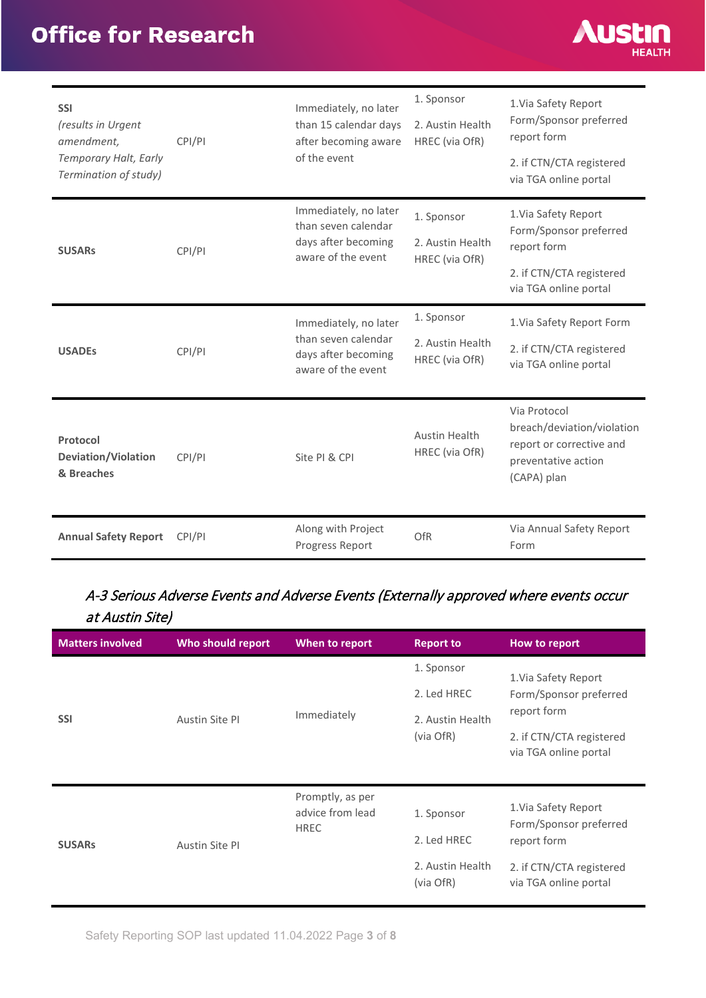# **Office for Research**



| <b>SSI</b><br>(results in Urgent<br>amendment,<br>Temporary Halt, Early<br>Termination of study) | CPI/PI | Immediately, no later<br>than 15 calendar days<br>after becoming aware<br>of the event    | 1. Sponsor<br>2. Austin Health<br>HREC (via OfR) | 1. Via Safety Report<br>Form/Sponsor preferred<br>report form<br>2. if CTN/CTA registered<br>via TGA online portal |
|--------------------------------------------------------------------------------------------------|--------|-------------------------------------------------------------------------------------------|--------------------------------------------------|--------------------------------------------------------------------------------------------------------------------|
| <b>SUSARs</b>                                                                                    | CPI/PI | Immediately, no later<br>than seven calendar<br>days after becoming<br>aware of the event | 1. Sponsor<br>2. Austin Health<br>HREC (via OfR) | 1. Via Safety Report<br>Form/Sponsor preferred<br>report form<br>2. if CTN/CTA registered<br>via TGA online portal |
| <b>USADEs</b>                                                                                    | CPI/PI | Immediately, no later<br>than seven calendar<br>days after becoming<br>aware of the event | 1. Sponsor<br>2. Austin Health<br>HREC (via OfR) | 1. Via Safety Report Form<br>2. if CTN/CTA registered<br>via TGA online portal                                     |
| Protocol<br><b>Deviation/Violation</b><br>& Breaches                                             | CPI/PI | Site PI & CPI                                                                             | Austin Health<br>HREC (via OfR)                  | Via Protocol<br>breach/deviation/violation<br>report or corrective and<br>preventative action<br>(CAPA) plan       |
| <b>Annual Safety Report</b>                                                                      | CPI/PI | Along with Project<br>Progress Report                                                     | OfR                                              | Via Annual Safety Report<br>Form                                                                                   |

## <span id="page-2-0"></span>A-3 Serious Adverse Events and Adverse Events (Externally approved where events occur at Austin Site)

| <b>Matters involved</b> | Who should report | When to report                                      | <b>Report to</b>                                           | How to report                                                                                                      |
|-------------------------|-------------------|-----------------------------------------------------|------------------------------------------------------------|--------------------------------------------------------------------------------------------------------------------|
| <b>SSI</b>              | Austin Site PI    | Immediately                                         | 1. Sponsor<br>2. Led HREC<br>2. Austin Health<br>(via OfR) | 1. Via Safety Report<br>Form/Sponsor preferred<br>report form<br>2. if CTN/CTA registered<br>via TGA online portal |
| <b>SUSARS</b>           | Austin Site PI    | Promptly, as per<br>advice from lead<br><b>HREC</b> | 1. Sponsor<br>2. Led HREC<br>2. Austin Health<br>(via OfR) | 1. Via Safety Report<br>Form/Sponsor preferred<br>report form<br>2. if CTN/CTA registered<br>via TGA online portal |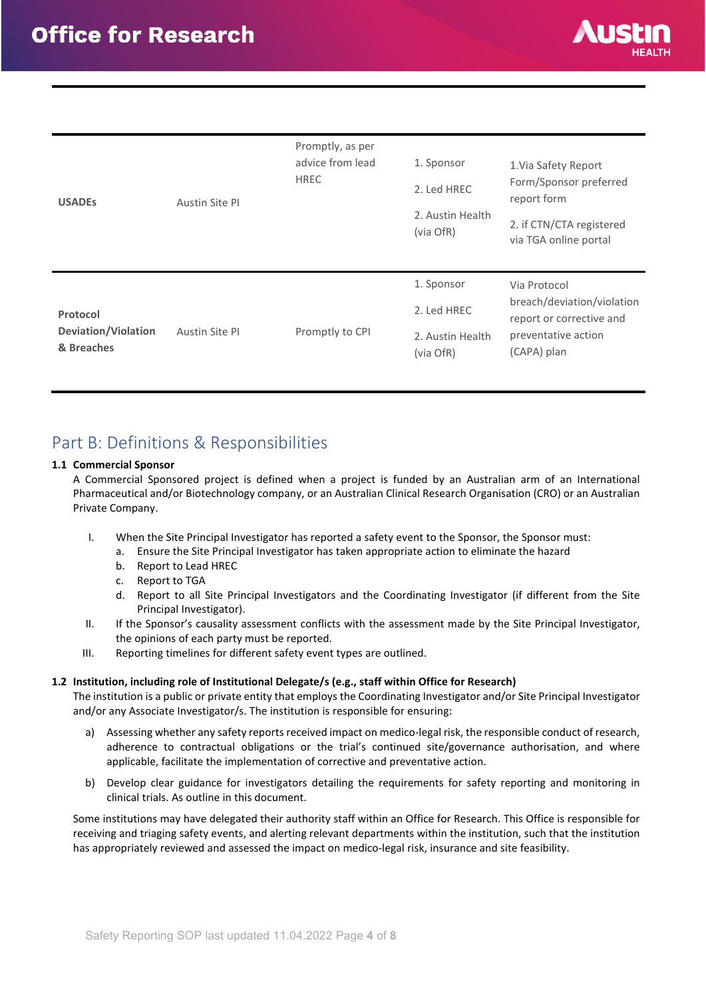

| <b>USADES</b>                                 | Austin Site PI | Promptly, as per<br>advice from lead<br><b>HREC</b> | 1. Sponsor<br>2. Led HREC<br>2. Austin Health<br>(via OfR) | 1. Via Safety Report<br>Form/Sponsor preferred<br>report form<br>2. if CTN/CTA registered<br>via TGA online portal |
|-----------------------------------------------|----------------|-----------------------------------------------------|------------------------------------------------------------|--------------------------------------------------------------------------------------------------------------------|
| Protocol<br>Deviation/Violation<br>& Breaches | Austin Site PI | Promptly to CPI                                     | 1. Sponsor<br>2. Led HREC<br>2. Austin Health<br>(via OfR) | Via Protocol<br>breach/deviation/violation<br>report or corrective and<br>preventative action<br>(CAPA) plan       |

## <span id="page-3-0"></span>Part B: Definitions & Responsibilities

#### **1.1 Commercial Sponsor**

A Commercial Sponsored project is defined when a project is funded by an Australian arm of an International Pharmaceutical and/or Biotechnology company, or an Australian Clinical Research Organisation (CRO) or an Australian Private Company.

- I. When the Site Principal Investigator has reported a safety event to the Sponsor, the Sponsor must:
	- a. Ensure the Site Principal Investigator has taken appropriate action to eliminate the hazard
	- b. Report to Lead HREC
	- c. Report to TGA
	- d. Report to all Site Principal Investigators and the Coordinating Investigator (if different from the Site Principal Investigator).
- II. If the Sponsor's causality assessment conflicts with the assessment made by the Site Principal Investigator, the opinions of each party must be reported.
- III. Reporting timelines for different safety event types are outlined.

#### **1.2 Institution, including role of Institutional Delegate/s (e.g., staff within Office for Research)**

The institution is a public or private entity that employs the Coordinating Investigator and/or Site Principal Investigator and/or any Associate Investigator/s. The institution is responsible for ensuring:

- a) Assessing whether any safety reports received impact on medico-legal risk, the responsible conduct of research, adherence to contractual obligations or the trial's continued site/governance authorisation, and where applicable, facilitate the implementation of corrective and preventative action.
- b) Develop clear guidance for investigators detailing the requirements for safety reporting and monitoring in clinical trials. As outline in this document.

Some institutions may have delegated their authority staff within an Office for Research. This Office is responsible for receiving and triaging safety events, and alerting relevant departments within the institution, such that the institution has appropriately reviewed and assessed the impact on medico-legal risk, insurance and site feasibility.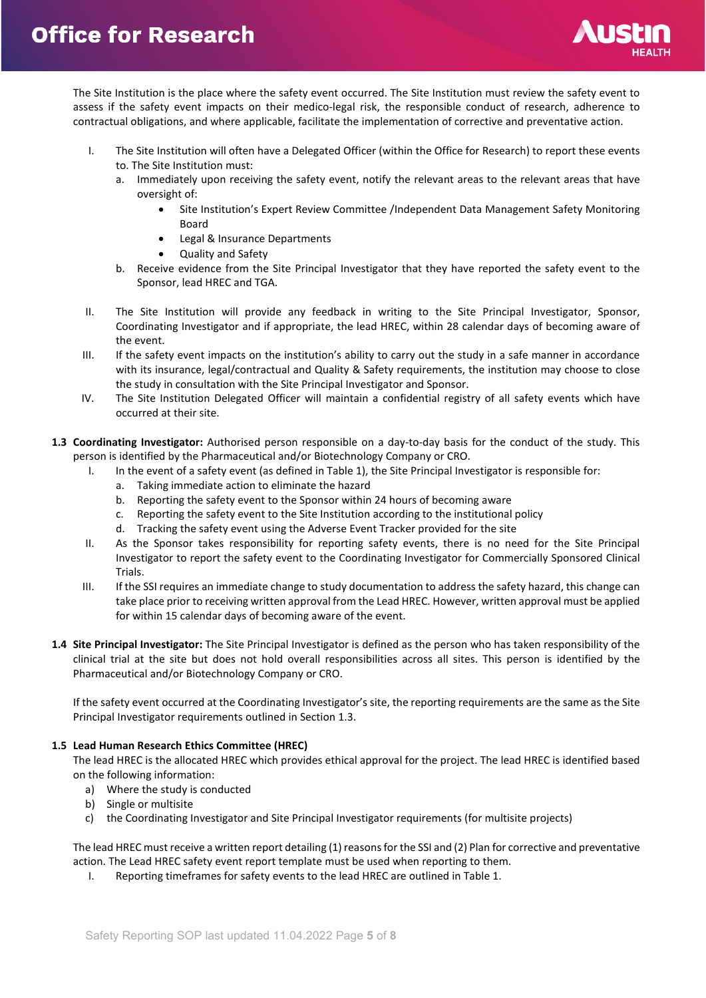

The Site Institution is the place where the safety event occurred. The Site Institution must review the safety event to assess if the safety event impacts on their medico-legal risk, the responsible conduct of research, adherence to contractual obligations, and where applicable, facilitate the implementation of corrective and preventative action.

- I. The Site Institution will often have a Delegated Officer (within the Office for Research) to report these events to. The Site Institution must:
	- a. Immediately upon receiving the safety event, notify the relevant areas to the relevant areas that have oversight of:
		- Site Institution's Expert Review Committee /Independent Data Management Safety Monitoring Board
		- Legal & Insurance Departments
		- Quality and Safety
	- b. Receive evidence from the Site Principal Investigator that they have reported the safety event to the Sponsor, lead HREC and TGA.
- II. The Site Institution will provide any feedback in writing to the Site Principal Investigator, Sponsor, Coordinating Investigator and if appropriate, the lead HREC, within 28 calendar days of becoming aware of the event.
- III. If the safety event impacts on the institution's ability to carry out the study in a safe manner in accordance with its insurance, legal/contractual and Quality & Safety requirements, the institution may choose to close the study in consultation with the Site Principal Investigator and Sponsor.
- IV. The Site Institution Delegated Officer will maintain a confidential registry of all safety events which have occurred at their site.
- **1.3 Coordinating Investigator:** Authorised person responsible on a day-to-day basis for the conduct of the study. This person is identified by the Pharmaceutical and/or Biotechnology Company or CRO.
	- I. In the event of a safety event (as defined in Table 1), the Site Principal Investigator is responsible for:
		- a. Taking immediate action to eliminate the hazard
		- b. Reporting the safety event to the Sponsor within 24 hours of becoming aware
		- c. Reporting the safety event to the Site Institution according to the institutional policy
		- d. Tracking the safety event using the Adverse Event Tracker provided for the site
	- II. As the Sponsor takes responsibility for reporting safety events, there is no need for the Site Principal Investigator to report the safety event to the Coordinating Investigator for Commercially Sponsored Clinical **Trials**
	- III. If the SSI requires an immediate change to study documentation to address the safety hazard, this change can take place prior to receiving written approval from the Lead HREC. However, written approval must be applied for within 15 calendar days of becoming aware of the event.
- **1.4 Site Principal Investigator:** The Site Principal Investigator is defined as the person who has taken responsibility of the clinical trial at the site but does not hold overall responsibilities across all sites. This person is identified by the Pharmaceutical and/or Biotechnology Company or CRO.

If the safety event occurred at the Coordinating Investigator's site, the reporting requirements are the same as the Site Principal Investigator requirements outlined in Section 1.3.

#### **1.5 Lead Human Research Ethics Committee (HREC)**

The lead HREC is the allocated HREC which provides ethical approval for the project. The lead HREC is identified based on the following information:

- a) Where the study is conducted
- b) Single or multisite
- c) the Coordinating Investigator and Site Principal Investigator requirements (for multisite projects)

The lead HREC must receive a written report detailing (1) reasons for the SSI and (2) Plan for corrective and preventative action. The Lead HREC safety event report template must be used when reporting to them.

I. Reporting timeframes for safety events to the lead HREC are outlined in Table 1.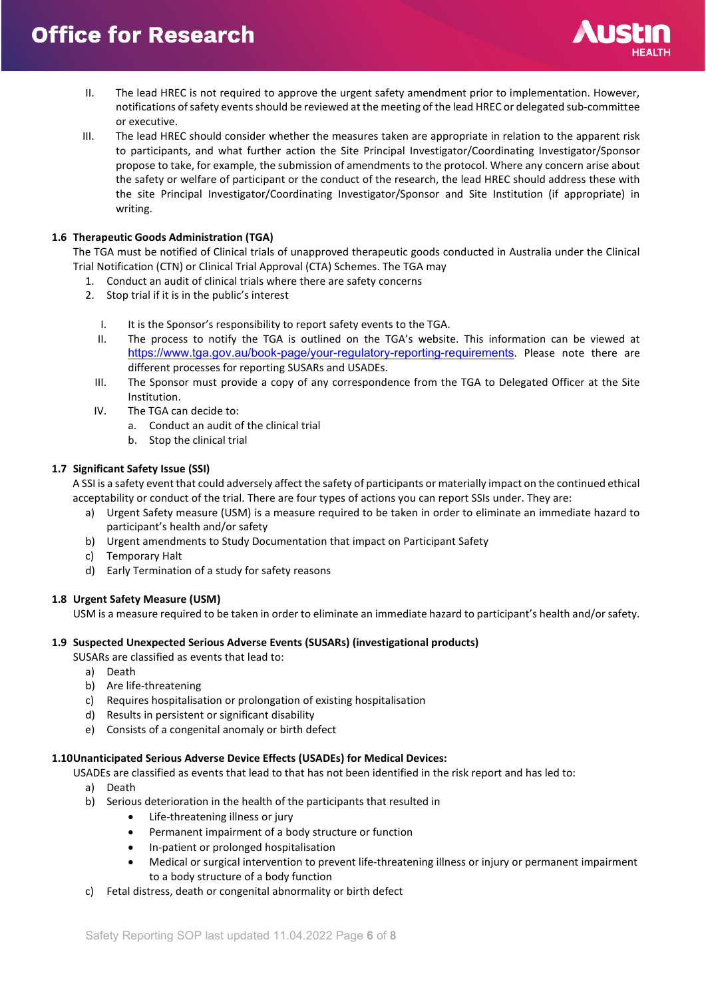

- II. The lead HREC is not required to approve the urgent safety amendment prior to implementation. However, notifications of safety events should be reviewed at the meeting of the lead HREC or delegated sub-committee or executive.
- III. The lead HREC should consider whether the measures taken are appropriate in relation to the apparent risk to participants, and what further action the Site Principal Investigator/Coordinating Investigator/Sponsor propose to take, for example, the submission of amendments to the protocol. Where any concern arise about the safety or welfare of participant or the conduct of the research, the lead HREC should address these with the site Principal Investigator/Coordinating Investigator/Sponsor and Site Institution (if appropriate) in writing.

#### **1.6 Therapeutic Goods Administration (TGA)**

The TGA must be notified of Clinical trials of unapproved therapeutic goods conducted in Australia under the Clinical Trial Notification (CTN) or Clinical Trial Approval (CTA) Schemes. The TGA may

- 1. Conduct an audit of clinical trials where there are safety concerns
- 2. Stop trial if it is in the public's interest
	- I. It is the Sponsor's responsibility to report safety events to the TGA.
	- II. The process to notify the TGA is outlined on the TGA's website. This information can be viewed at <https://www.tga.gov.au/book-page/your-regulatory-reporting-requirements>. Please note there are different processes for reporting SUSARs and USADEs.
	- III. The Sponsor must provide a copy of any correspondence from the TGA to Delegated Officer at the Site Institution.
	- IV. The TGA can decide to:
		- a. Conduct an audit of the clinical trial
		- b. Stop the clinical trial

#### **1.7 Significant Safety Issue (SSI)**

A SSI is a safety event that could adversely affect the safety of participants or materially impact on the continued ethical acceptability or conduct of the trial. There are four types of actions you can report SSIs under. They are:

- a) Urgent Safety measure (USM) is a measure required to be taken in order to eliminate an immediate hazard to participant's health and/or safety
- b) Urgent amendments to Study Documentation that impact on Participant Safety
- c) Temporary Halt
- d) Early Termination of a study for safety reasons

#### **1.8 Urgent Safety Measure (USM)**

USM is a measure required to be taken in order to eliminate an immediate hazard to participant's health and/or safety.

#### **1.9 Suspected Unexpected Serious Adverse Events (SUSARs) (investigational products)**

SUSARs are classified as events that lead to:

- a) Death
- b) Are life-threatening
- c) Requires hospitalisation or prolongation of existing hospitalisation
- d) Results in persistent or significant disability
- e) Consists of a congenital anomaly or birth defect

#### **1.10Unanticipated Serious Adverse Device Effects (USADEs) for Medical Devices:**

USADEs are classified as events that lead to that has not been identified in the risk report and has led to:

- a) Death
- b) Serious deterioration in the health of the participants that resulted in
	- Life-threatening illness or jury
	- Permanent impairment of a body structure or function
	- In-patient or prolonged hospitalisation
	- Medical or surgical intervention to prevent life-threatening illness or injury or permanent impairment to a body structure of a body function
- c) Fetal distress, death or congenital abnormality or birth defect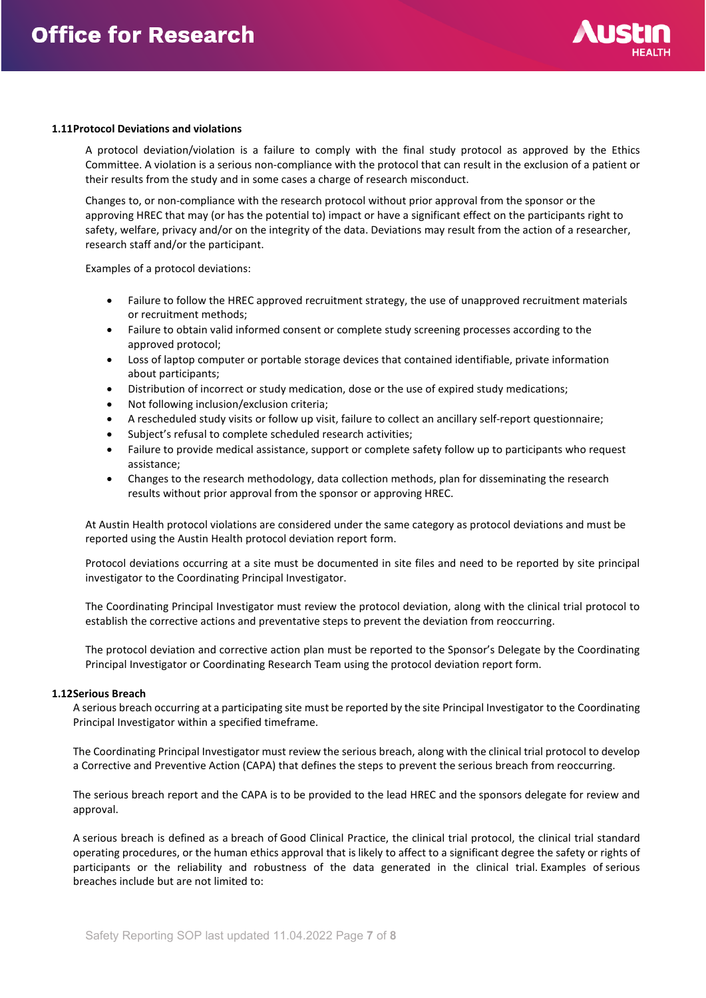

#### **1.11Protocol Deviations and violations**

A protocol deviation/violation is a failure to comply with the final study protocol as approved by the Ethics Committee. A violation is a serious non-compliance with the protocol that can result in the exclusion of a patient or their results from the study and in some cases a charge of research misconduct.

Changes to, or non-compliance with the research protocol without prior approval from the sponsor or the approving HREC that may (or has the potential to) impact or have a significant effect on the participants right to safety, welfare, privacy and/or on the integrity of the data. Deviations may result from the action of a researcher, research staff and/or the participant.

Examples of a protocol deviations:

- Failure to follow the HREC approved recruitment strategy, the use of unapproved recruitment materials or recruitment methods;
- Failure to obtain valid informed consent or complete study screening processes according to the approved protocol;
- Loss of laptop computer or portable storage devices that contained identifiable, private information about participants;
- Distribution of incorrect or study medication, dose or the use of expired study medications;
- Not following inclusion/exclusion criteria;
- A rescheduled study visits or follow up visit, failure to collect an ancillary self-report questionnaire;
- Subject's refusal to complete scheduled research activities;
- Failure to provide medical assistance, support or complete safety follow up to participants who request assistance;
- Changes to the research methodology, data collection methods, plan for disseminating the research results without prior approval from the sponsor or approving HREC.

At Austin Health protocol violations are considered under the same category as protocol deviations and must be reported using the Austin Health protocol deviation report form.

Protocol deviations occurring at a site must be documented in site files and need to be reported by site principal investigator to the Coordinating Principal Investigator.

The Coordinating Principal Investigator must review the protocol deviation, along with the clinical trial protocol to establish the corrective actions and preventative steps to prevent the deviation from reoccurring.

The protocol deviation and corrective action plan must be reported to the Sponsor's Delegate by the Coordinating Principal Investigator or Coordinating Research Team using the protocol deviation report form.

#### **1.12Serious Breach**

A serious breach occurring at a participating site must be reported by the site Principal Investigator to the Coordinating Principal Investigator within a specified timeframe.

The Coordinating Principal Investigator must review the serious breach, along with the clinical trial protocol to develop a Corrective and Preventive Action (CAPA) that defines the steps to prevent the serious breach from reoccurring.

The serious breach report and the CAPA is to be provided to the lead HREC and the sponsors delegate for review and approval.

A serious breach is defined as a breach of Good Clinical Practice, the clinical trial protocol, the clinical trial standard operating procedures, or the human ethics approval that is likely to affect to a significant degree the safety or rights of participants or the reliability and robustness of the data generated in the clinical trial. Examples of serious breaches include but are not limited to: